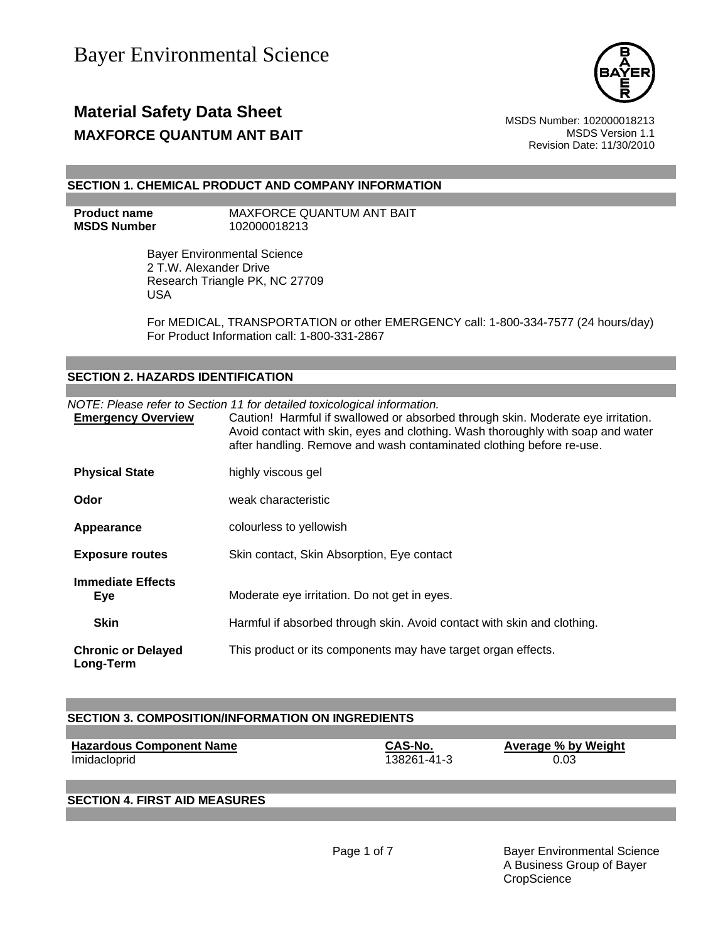

## **Material Safety Data Sheet** Material Safety Data Sheet MSDS Number: 102000018213 **MAXFORCE QUANTUM ANT BAIT**  AND **MAXFORCE QUANTUM ANT BAIT**

Revision Date: 11/30/2010

#### **SECTION 1. CHEMICAL PRODUCT AND COMPANY INFORMATION**

**Product name MAXFORCE QUANTUM ANT BAIT MSDS Number** 102000018213

> Bayer Environmental Science 2 T.W. Alexander Drive Research Triangle PK, NC 27709 USA

For MEDICAL, TRANSPORTATION or other EMERGENCY call: 1-800-334-7577 (24 hours/day) For Product Information call: 1-800-331-2867

### **SECTION 2. HAZARDS IDENTIFICATION**

*NOTE: Please refer to Section 11 for detailed toxicological information.*

| <b>Emergency Overview</b>                      | Caution! Harmful if swallowed or absorbed through skin. Moderate eye irritation.<br>Avoid contact with skin, eyes and clothing. Wash thoroughly with soap and water<br>after handling. Remove and wash contaminated clothing before re-use. |
|------------------------------------------------|---------------------------------------------------------------------------------------------------------------------------------------------------------------------------------------------------------------------------------------------|
| <b>Physical State</b>                          | highly viscous gel                                                                                                                                                                                                                          |
| Odor                                           | weak characteristic                                                                                                                                                                                                                         |
| Appearance                                     | colourless to yellowish                                                                                                                                                                                                                     |
| <b>Exposure routes</b>                         | Skin contact, Skin Absorption, Eye contact                                                                                                                                                                                                  |
| <b>Immediate Effects</b><br>Eye<br><b>Skin</b> | Moderate eye irritation. Do not get in eyes.<br>Harmful if absorbed through skin. Avoid contact with skin and clothing.                                                                                                                     |
|                                                |                                                                                                                                                                                                                                             |
| <b>Chronic or Delayed</b><br>Long-Term         | This product or its components may have target organ effects.                                                                                                                                                                               |

### **SECTION 3. COMPOSITION/INFORMATION ON INGREDIENTS**

| <b>Hazardous Component Name</b> | CAS-No.     | Average % by Weight |
|---------------------------------|-------------|---------------------|
| Imidacloprid                    | 138261-41-3 | 0.03                |

### **SECTION 4. FIRST AID MEASURES**

Page 1 of 7 Bayer Environmental Science A Business Group of Bayer **CropScience**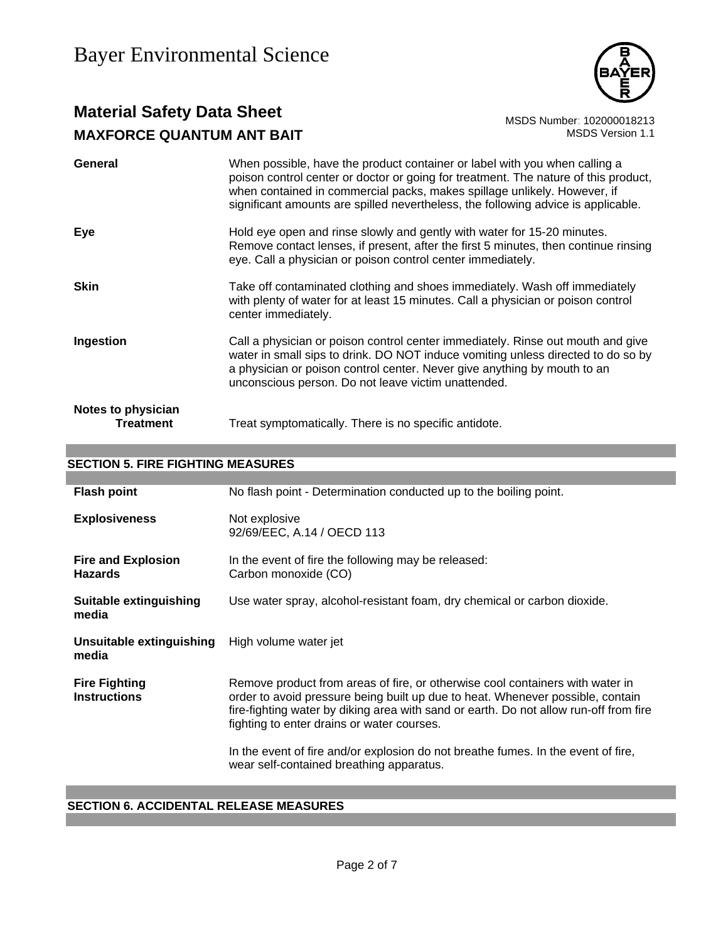

# **Material Safety Data Sheet**<br>MAXEORCE QUANTUM ANT RAIT MAXEORCE ON MAXEOR OF STRAIN ANT RAIT **MAXFORCE QUANTUM ANT BAIT**

| General                         | When possible, have the product container or label with you when calling a<br>poison control center or doctor or going for treatment. The nature of this product,<br>when contained in commercial packs, makes spillage unlikely. However, if<br>significant amounts are spilled nevertheless, the following advice is applicable. |
|---------------------------------|------------------------------------------------------------------------------------------------------------------------------------------------------------------------------------------------------------------------------------------------------------------------------------------------------------------------------------|
| Eye                             | Hold eye open and rinse slowly and gently with water for 15-20 minutes.<br>Remove contact lenses, if present, after the first 5 minutes, then continue rinsing<br>eye. Call a physician or poison control center immediately.                                                                                                      |
| <b>Skin</b>                     | Take off contaminated clothing and shoes immediately. Wash off immediately<br>with plenty of water for at least 15 minutes. Call a physician or poison control<br>center immediately.                                                                                                                                              |
| Ingestion                       | Call a physician or poison control center immediately. Rinse out mouth and give<br>water in small sips to drink. DO NOT induce vomiting unless directed to do so by<br>a physician or poison control center. Never give anything by mouth to an<br>unconscious person. Do not leave victim unattended.                             |
| Notes to physician<br>Treatment | Treat symptomatically. There is no specific antidote.                                                                                                                                                                                                                                                                              |

### **SECTION 5. FIRE FIGHTING MEASURES**

| <b>Flash point</b>                          | No flash point - Determination conducted up to the boiling point.                                                                                                                                                                                                                                      |
|---------------------------------------------|--------------------------------------------------------------------------------------------------------------------------------------------------------------------------------------------------------------------------------------------------------------------------------------------------------|
| <b>Explosiveness</b>                        | Not explosive<br>92/69/EEC, A.14 / OECD 113                                                                                                                                                                                                                                                            |
| <b>Fire and Explosion</b><br><b>Hazards</b> | In the event of fire the following may be released:<br>Carbon monoxide (CO)                                                                                                                                                                                                                            |
| <b>Suitable extinguishing</b><br>media      | Use water spray, alcohol-resistant foam, dry chemical or carbon dioxide.                                                                                                                                                                                                                               |
| Unsuitable extinguishing<br>media           | High volume water jet                                                                                                                                                                                                                                                                                  |
| <b>Fire Fighting</b><br><b>Instructions</b> | Remove product from areas of fire, or otherwise cool containers with water in<br>order to avoid pressure being built up due to heat. Whenever possible, contain<br>fire-fighting water by diking area with sand or earth. Do not allow run-off from fire<br>fighting to enter drains or water courses. |
|                                             | In the event of fire and/or explosion do not breathe fumes. In the event of fire,<br>wear self-contained breathing apparatus.                                                                                                                                                                          |

### **SECTION 6. ACCIDENTAL RELEASE MEASURES**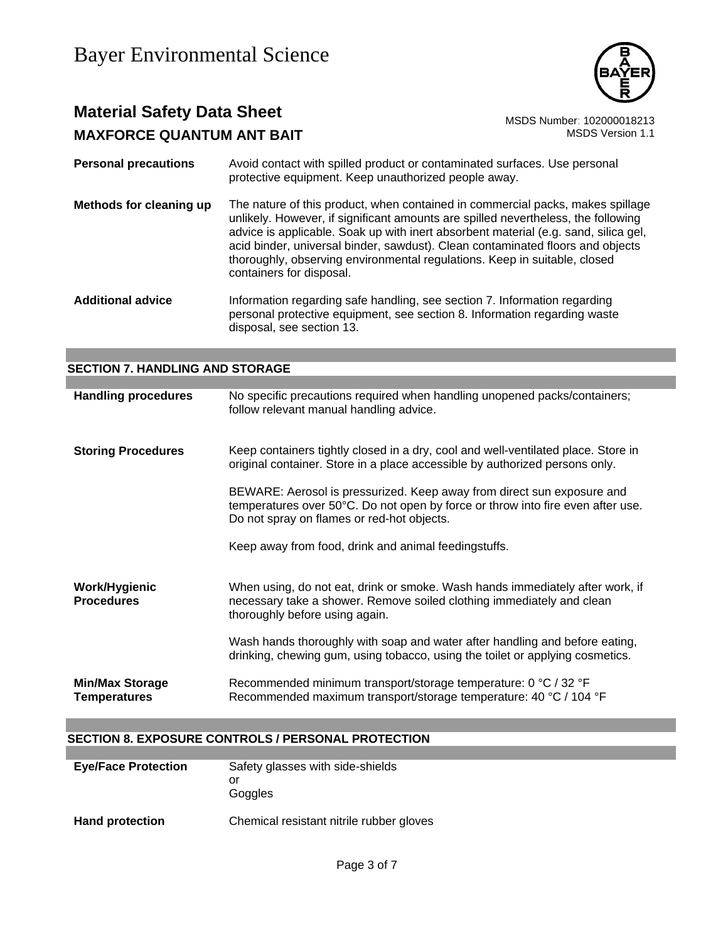

## **Material Safety Data Sheet**<br>MAXEORCE QUANTUM ANT RAIT<br>MSDS Version 1.1 **MAXFORCE QUANTUM ANT BAIT**

| <b>Personal precautions</b> | Avoid contact with spilled product or contaminated surfaces. Use personal<br>protective equipment. Keep unauthorized people away.                                                                                                                                                                                                                                                                                                                     |
|-----------------------------|-------------------------------------------------------------------------------------------------------------------------------------------------------------------------------------------------------------------------------------------------------------------------------------------------------------------------------------------------------------------------------------------------------------------------------------------------------|
| Methods for cleaning up     | The nature of this product, when contained in commercial packs, makes spillage<br>unlikely. However, if significant amounts are spilled nevertheless, the following<br>advice is applicable. Soak up with inert absorbent material (e.g. sand, silica gel,<br>acid binder, universal binder, sawdust). Clean contaminated floors and objects<br>thoroughly, observing environmental regulations. Keep in suitable, closed<br>containers for disposal. |
| <b>Additional advice</b>    | Information regarding safe handling, see section 7. Information regarding<br>personal protective equipment, see section 8. Information regarding waste<br>disposal, see section 13.                                                                                                                                                                                                                                                                   |

| <b>SECTION 7. HANDLING AND STORAGE</b>        |                                                                                                                                                                                                         |  |
|-----------------------------------------------|---------------------------------------------------------------------------------------------------------------------------------------------------------------------------------------------------------|--|
|                                               |                                                                                                                                                                                                         |  |
| <b>Handling procedures</b>                    | No specific precautions required when handling unopened packs/containers;<br>follow relevant manual handling advice.                                                                                    |  |
| <b>Storing Procedures</b>                     | Keep containers tightly closed in a dry, cool and well-ventilated place. Store in<br>original container. Store in a place accessible by authorized persons only.                                        |  |
|                                               | BEWARE: Aerosol is pressurized. Keep away from direct sun exposure and<br>temperatures over 50°C. Do not open by force or throw into fire even after use.<br>Do not spray on flames or red-hot objects. |  |
|                                               | Keep away from food, drink and animal feedingstuffs.                                                                                                                                                    |  |
| Work/Hygienic<br><b>Procedures</b>            | When using, do not eat, drink or smoke. Wash hands immediately after work, if<br>necessary take a shower. Remove soiled clothing immediately and clean<br>thoroughly before using again.                |  |
|                                               | Wash hands thoroughly with soap and water after handling and before eating,<br>drinking, chewing gum, using tobacco, using the toilet or applying cosmetics.                                            |  |
| <b>Min/Max Storage</b><br><b>Temperatures</b> | Recommended minimum transport/storage temperature: 0 °C / 32 °F<br>Recommended maximum transport/storage temperature: 40 °C / 104 °F                                                                    |  |

### **SECTION 8. EXPOSURE CONTROLS / PERSONAL PROTECTION**

| <b>Eye/Face Protection</b> | Safety glasses with side-shields<br>or<br>Goggles |
|----------------------------|---------------------------------------------------|
| <b>Hand protection</b>     | Chemical resistant nitrile rubber gloves          |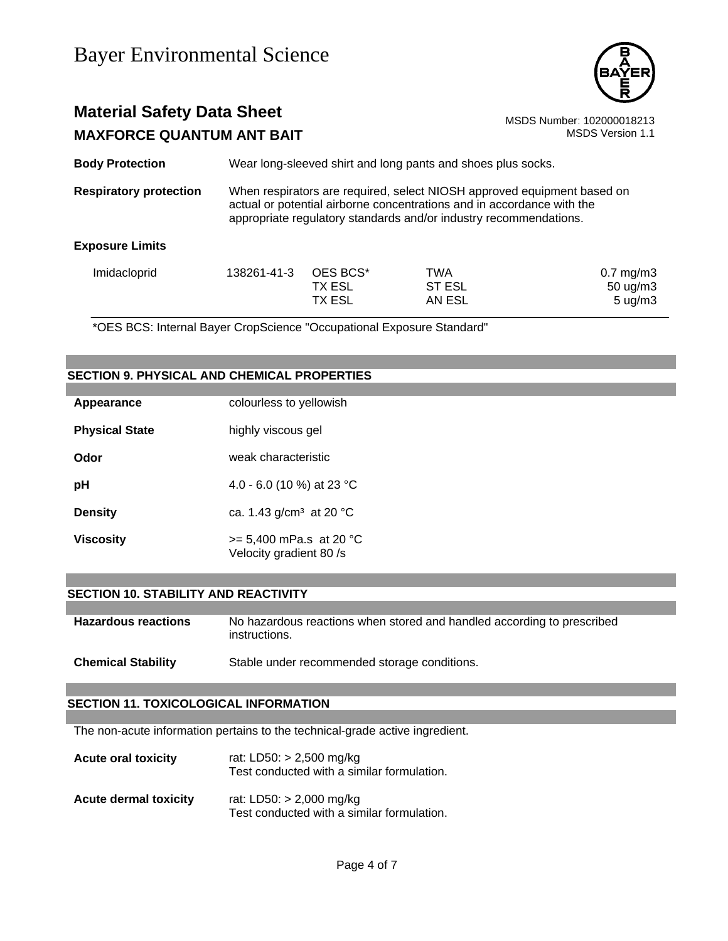

## **Material Safety Data Sheet** Material Safety Data Sheet<br>MAXEORCE QUANTUM ANT RAIT **MAXFORCE QUANTUM ANT BAIT**

| <b>Body Protection</b>        |                                                                                                                                                                                                                        | Wear long-sleeved shirt and long pants and shoes plus socks. |     |                |
|-------------------------------|------------------------------------------------------------------------------------------------------------------------------------------------------------------------------------------------------------------------|--------------------------------------------------------------|-----|----------------|
| <b>Respiratory protection</b> | When respirators are required, select NIOSH approved equipment based on<br>actual or potential airborne concentrations and in accordance with the<br>appropriate regulatory standards and/or industry recommendations. |                                                              |     |                |
| <b>Exposure Limits</b>        |                                                                                                                                                                                                                        |                                                              |     |                |
| Imidacloprid                  | 138261-41-3                                                                                                                                                                                                            | OES BCS*                                                     | TWA | $0.7$ mg/m $3$ |

TX ESL ST ESL ST ON SOUG/m3 TX ESL AN ESL 5 ug/m3

\*OES BCS: Internal Bayer CropScience "Occupational Exposure Standard"

### **SECTION 9. PHYSICAL AND CHEMICAL PROPERTIES**

| Appearance            | colourless to yellowish                              |
|-----------------------|------------------------------------------------------|
| <b>Physical State</b> | highly viscous gel                                   |
| Odor                  | weak characteristic                                  |
| рH                    | 4.0 - 6.0 (10 %) at 23 °C                            |
| <b>Density</b>        | ca. 1.43 $q/cm^3$ at 20 °C                           |
| Viscosity             | $>= 5,400$ mPa.s at 20 °C<br>Velocity gradient 80 /s |

#### **SECTION 10. STABILITY AND REACTIVITY**

| <b>Hazardous reactions</b> | No hazardous reactions when stored and handled according to prescribed<br>instructions. |
|----------------------------|-----------------------------------------------------------------------------------------|
| <b>Chemical Stability</b>  | Stable under recommended storage conditions.                                            |

#### **SECTION 11. TOXICOLOGICAL INFORMATION**

The non-acute information pertains to the technical-grade active ingredient.

| <b>Acute oral toxicity</b>   | rat: LD50: $> 2,500$ mg/kg<br>Test conducted with a similar formulation. |  |
|------------------------------|--------------------------------------------------------------------------|--|
| <b>Acute dermal toxicity</b> | rat: LD50: $> 2,000$ mg/kg                                               |  |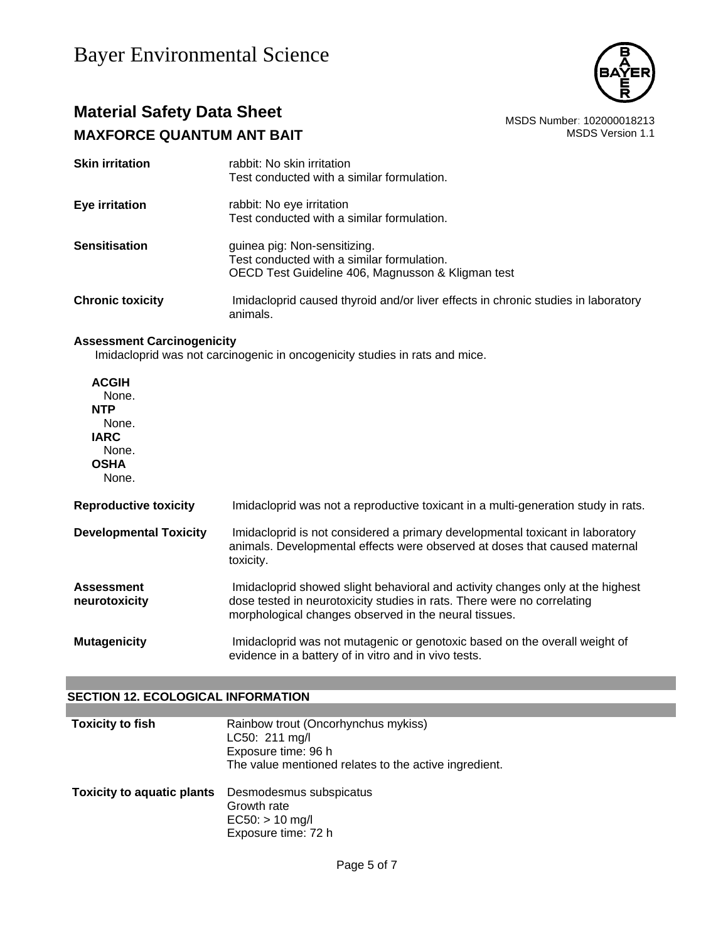

## **Material Safety Data Sheet**<br>MAXEORCE QUANTUM ANT RAIT MAXEORCE ON MAXEOR OF SAFETY ANT RAIT **MAXFORCE QUANTUM ANT BAIT**

| <b>Skin irritation</b>  | rabbit: No skin irritation<br>Test conducted with a similar formulation.                      |
|-------------------------|-----------------------------------------------------------------------------------------------|
| <b>Eye irritation</b>   | rabbit: No eye irritation                                                                     |
|                         | Test conducted with a similar formulation.                                                    |
| <b>Sensitisation</b>    | guinea pig: Non-sensitizing.                                                                  |
|                         | Test conducted with a similar formulation.                                                    |
|                         | OECD Test Guideline 406, Magnusson & Kligman test                                             |
| <b>Chronic toxicity</b> | Imidacloprid caused thyroid and/or liver effects in chronic studies in laboratory<br>animals. |

### **Assessment Carcinogenicity**

Imidacloprid was not carcinogenic in oncogenicity studies in rats and mice.

| <b>ACGIH</b><br>None.<br><b>NTP</b><br>None.<br><b>IARC</b><br>None.<br><b>OSHA</b><br>None. |                                                                                                                                                                                                                    |
|----------------------------------------------------------------------------------------------|--------------------------------------------------------------------------------------------------------------------------------------------------------------------------------------------------------------------|
| <b>Reproductive toxicity</b>                                                                 | Imidacloprid was not a reproductive toxicant in a multi-generation study in rats.                                                                                                                                  |
| <b>Developmental Toxicity</b>                                                                | Imidacloprid is not considered a primary developmental toxicant in laboratory<br>animals. Developmental effects were observed at doses that caused maternal<br>toxicity.                                           |
| <b>Assessment</b><br>neurotoxicity                                                           | Imidacloprid showed slight behavioral and activity changes only at the highest<br>dose tested in neurotoxicity studies in rats. There were no correlating<br>morphological changes observed in the neural tissues. |
| <b>Mutagenicity</b>                                                                          | Imidacloprid was not mutagenic or genotoxic based on the overall weight of<br>evidence in a battery of in vitro and in vivo tests.                                                                                 |

### **SECTION 12. ECOLOGICAL INFORMATION**

| <b>Toxicity to fish</b>           | Rainbow trout (Oncorhynchus mykiss)<br>LC50: 211 mg/l<br>Exposure time: 96 h<br>The value mentioned relates to the active ingredient. |
|-----------------------------------|---------------------------------------------------------------------------------------------------------------------------------------|
| <b>Toxicity to aquatic plants</b> | Desmodesmus subspicatus<br>Growth rate<br>$EC50: > 10$ mg/l<br>Exposure time: 72 h                                                    |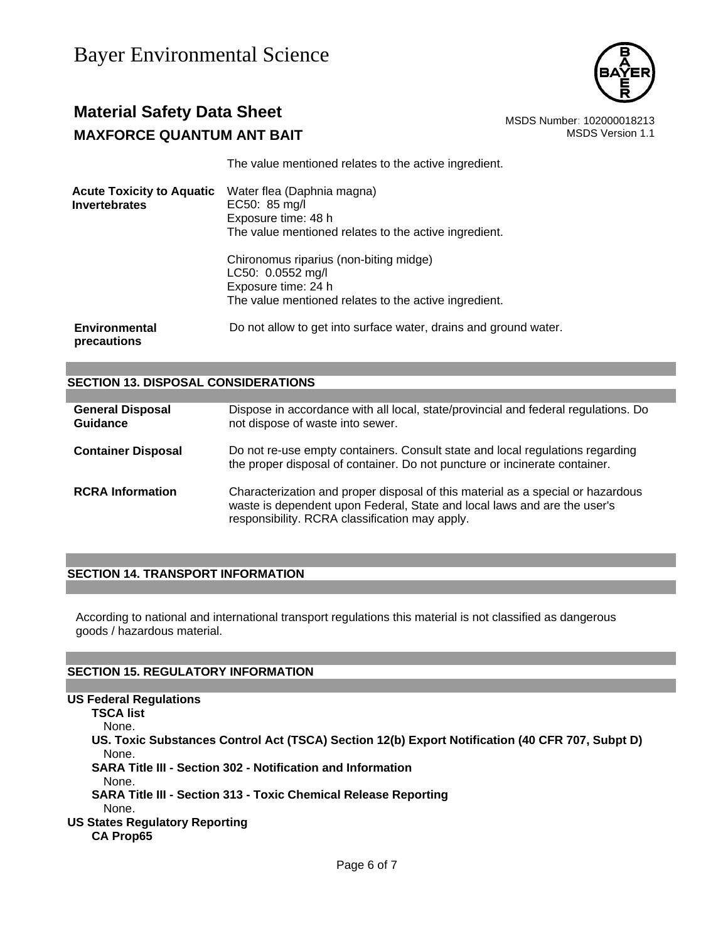

## **Material Safety Data Sheet** MSDS Number: 102000018213 **MAXFORCE QUANTUM ANT BAIT**  MAXIMUSE **MAXFORCE QUANTUM ANT BAIT**

The value mentioned relates to the active ingredient.

| <b>Acute Toxicity to Aquatic</b><br><b>Invertebrates</b> | Water flea (Daphnia magna)<br>EC50: 85 mg/l<br>Exposure time: 48 h<br>The value mentioned relates to the active ingredient.                 |
|----------------------------------------------------------|---------------------------------------------------------------------------------------------------------------------------------------------|
|                                                          | Chironomus riparius (non-biting midge)<br>LC50: 0.0552 mg/l<br>Exposure time: 24 h<br>The value mentioned relates to the active ingredient. |
| <b>Environmental</b><br>precautions                      | Do not allow to get into surface water, drains and ground water.                                                                            |

| <b>SECTION 13. DISPOSAL CONSIDERATIONS</b> |                                                                                                                                                                                                               |  |
|--------------------------------------------|---------------------------------------------------------------------------------------------------------------------------------------------------------------------------------------------------------------|--|
|                                            |                                                                                                                                                                                                               |  |
| <b>General Disposal</b><br>Guidance        | Dispose in accordance with all local, state/provincial and federal regulations. Do<br>not dispose of waste into sewer.                                                                                        |  |
| <b>Container Disposal</b>                  | Do not re-use empty containers. Consult state and local regulations regarding<br>the proper disposal of container. Do not puncture or incinerate container.                                                   |  |
| <b>RCRA</b> Information                    | Characterization and proper disposal of this material as a special or hazardous<br>waste is dependent upon Federal, State and local laws and are the user's<br>responsibility. RCRA classification may apply. |  |

### **SECTION 14. TRANSPORT INFORMATION**

According to national and international transport regulations this material is not classified as dangerous goods / hazardous material.

### **SECTION 15. REGULATORY INFORMATION**

**US Federal Regulations TSCA list** None. **US. Toxic Substances Control Act (TSCA) Section 12(b) Export Notification (40 CFR 707, Subpt D)** None. **SARA Title III - Section 302 - Notification and Information** None. **SARA Title III - Section 313 - Toxic Chemical Release Reporting** None. **US States Regulatory Reporting CA Prop65**